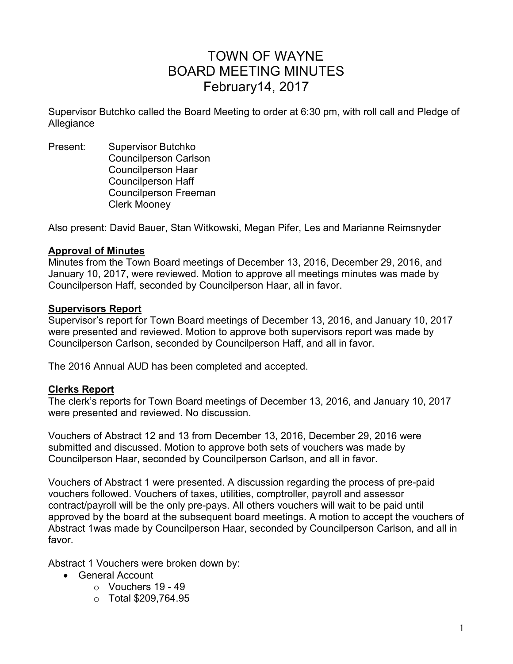# TOWN OF WAYNE BOARD MEETING MINUTES February14, 2017

Supervisor Butchko called the Board Meeting to order at 6:30 pm, with roll call and Pledge of Allegiance

Present: Supervisor Butchko Councilperson Carlson Councilperson Haar Councilperson Haff Councilperson Freeman Clerk Mooney

Also present: David Bauer, Stan Witkowski, Megan Pifer, Les and Marianne Reimsnyder

#### **Approval of Minutes**

Minutes from the Town Board meetings of December 13, 2016, December 29, 2016, and January 10, 2017, were reviewed. Motion to approve all meetings minutes was made by Councilperson Haff, seconded by Councilperson Haar, all in favor.

#### **Supervisors Report**

Supervisor's report for Town Board meetings of December 13, 2016, and January 10, 2017 were presented and reviewed. Motion to approve both supervisors report was made by Councilperson Carlson, seconded by Councilperson Haff, and all in favor.

The 2016 Annual AUD has been completed and accepted.

#### **Clerks Report**

The clerk's reports for Town Board meetings of December 13, 2016, and January 10, 2017 were presented and reviewed. No discussion.

Vouchers of Abstract 12 and 13 from December 13, 2016, December 29, 2016 were submitted and discussed. Motion to approve both sets of vouchers was made by Councilperson Haar, seconded by Councilperson Carlson, and all in favor.

Vouchers of Abstract 1 were presented. A discussion regarding the process of pre-paid vouchers followed. Vouchers of taxes, utilities, comptroller, payroll and assessor contract/payroll will be the only pre-pays. All others vouchers will wait to be paid until approved by the board at the subsequent board meetings. A motion to accept the vouchers of Abstract 1was made by Councilperson Haar, seconded by Councilperson Carlson, and all in favor.

Abstract 1 Vouchers were broken down by:

- General Account
	- $\circ$  Vouchers 19 49
	- o Total \$209,764.95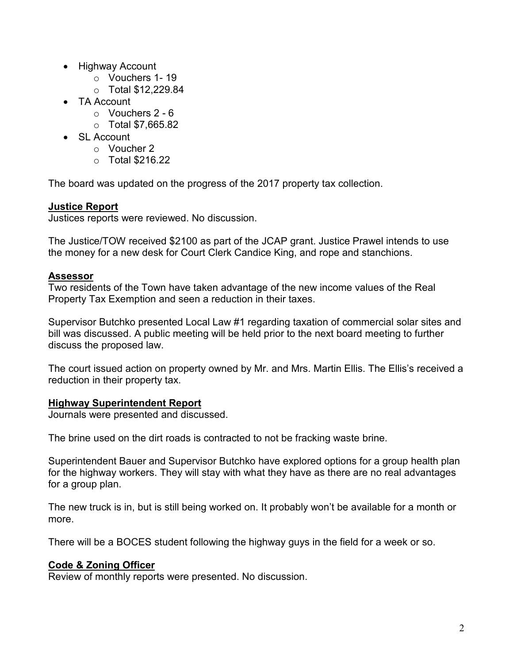- Highway Account
	- o Vouchers 1- 19
	- o Total \$12,229.84
- TA Account
	- $\circ$  Vouchers 2 6
	- o Total \$7,665.82
- SL Account
	- o Voucher 2
	- o Total \$216.22

The board was updated on the progress of the 2017 property tax collection.

# **Justice Report**

Justices reports were reviewed. No discussion.

The Justice/TOW received \$2100 as part of the JCAP grant. Justice Prawel intends to use the money for a new desk for Court Clerk Candice King, and rope and stanchions.

## **Assessor**

Two residents of the Town have taken advantage of the new income values of the Real Property Tax Exemption and seen a reduction in their taxes.

Supervisor Butchko presented Local Law #1 regarding taxation of commercial solar sites and bill was discussed. A public meeting will be held prior to the next board meeting to further discuss the proposed law.

The court issued action on property owned by Mr. and Mrs. Martin Ellis. The Ellis's received a reduction in their property tax.

## **Highway Superintendent Report**

Journals were presented and discussed.

The brine used on the dirt roads is contracted to not be fracking waste brine.

Superintendent Bauer and Supervisor Butchko have explored options for a group health plan for the highway workers. They will stay with what they have as there are no real advantages for a group plan.

The new truck is in, but is still being worked on. It probably won't be available for a month or more.

There will be a BOCES student following the highway guys in the field for a week or so.

# **Code & Zoning Officer**

Review of monthly reports were presented. No discussion.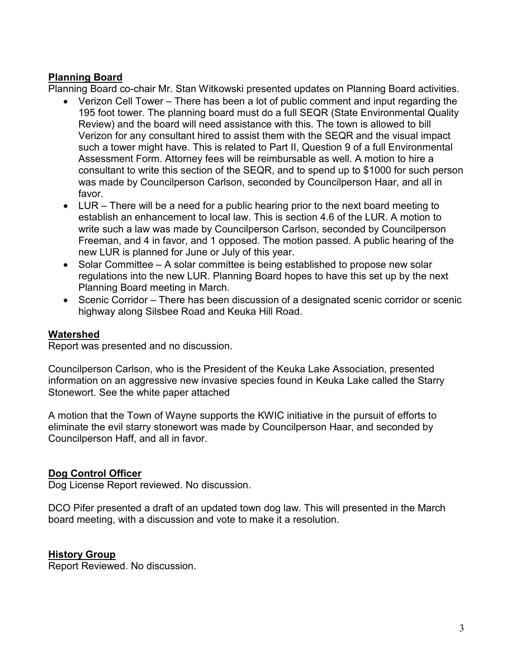### **Planning Board**

Planning Board co-chair Mr. Stan Witkowski presented updates on Planning Board activities.

- Verizon Cell Tower There has been a lot of public comment and input regarding the 195 foot tower. The planning board must do a full SEQR (State Environmental Quality Review) and the board will need assistance with this. The town is allowed to bill Verizon for any consultant hired to assist them with the SEQR and the visual impact such a tower might have. This is related to Part II, Question 9 of a full Environmental Assessment Form. Attorney fees will be reimbursable as well. A motion to hire a consultant to write this section of the SEQR, and to spend up to \$1000 for such person was made by Councilperson Carlson, seconded by Councilperson Haar, and all in favor.
- LUR There will be a need for a public hearing prior to the next board meeting to establish an enhancement to local law. This is section 4.6 of the LUR. A motion to write such a law was made by Councilperson Carlson, seconded by Councilperson Freeman, and 4 in favor, and 1 opposed. The motion passed. A public hearing of the new LUR is planned for June or July of this year.
- Solar Committee A solar committee is being established to propose new solar regulations into the new LUR. Planning Board hopes to have this set up by the next Planning Board meeting in March.
- Scenic Corridor There has been discussion of a designated scenic corridor or scenic highway along Silsbee Road and Keuka Hill Road.

#### **Watershed**

Report was presented and no discussion.

Councilperson Carlson, who is the President of the Keuka Lake Association, presented information on an aggressive new invasive species found in Keuka Lake called the Starry Stonewort. See the white paper attached

A motion that the Town of Wayne supports the KWIC initiative in the pursuit of efforts to eliminate the evil starry stonewort was made by Councilperson Haar, and seconded by Councilperson Haff, and all in favor.

## **Dog Control Officer**

Dog License Report reviewed. No discussion.

DCO Pifer presented a draft of an updated town dog law. This will presented in the March board meeting, with a discussion and vote to make it a resolution.

#### **History Group**

Report Reviewed. No discussion.